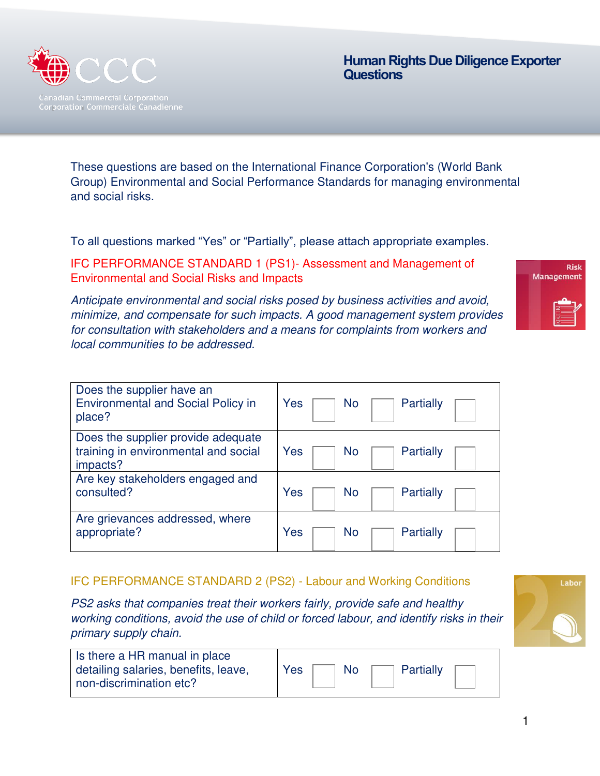

 **Human Rights Due Diligence Exporter Questions** 

These questions are based on the International Finance Corporation's (World Bank Group) Environmental and Social Performance Standards for managing environmental and social risks.

To all questions marked "Yes" or "Partially", please attach appropriate examples.

IFC PERFORMANCE STANDARD 1 (PS1)- Assessment and Management of Environmental and Social Risks and Impacts

**Risk Management** 

Anticipate environmental and social risks posed by business activities and avoid, minimize, and compensate for such impacts. A good management system provides for consultation with stakeholders and a means for complaints from workers and local communities to be addressed.

| Does the supplier have an                       | Yes                    |
|-------------------------------------------------|------------------------|
| <b>Environmental and Social Policy in</b>       | <b>Partially</b>       |
| place?                                          | No                     |
| Does the supplier provide adequate              | Yes                    |
| training in environmental and social            | Partially              |
| impacts?                                        | No                     |
| Are key stakeholders engaged and<br>consulted?  | Yes<br>Partially<br>No |
| Are grievances addressed, where<br>appropriate? | Yes<br>Partially<br>No |

#### IFC PERFORMANCE STANDARD 2 (PS2) - Labour and Working Conditions

PS2 asks that companies treat their workers fairly, provide safe and healthy working conditions, avoid the use of child or forced labour, and identify risks in their primary supply chain.

| Is there a HR manual in place        |  |
|--------------------------------------|--|
| detailing salaries, benefits, leave, |  |
| non-discrimination etc?              |  |

| Yes | No | Partially |  |
|-----|----|-----------|--|
|     |    |           |  |

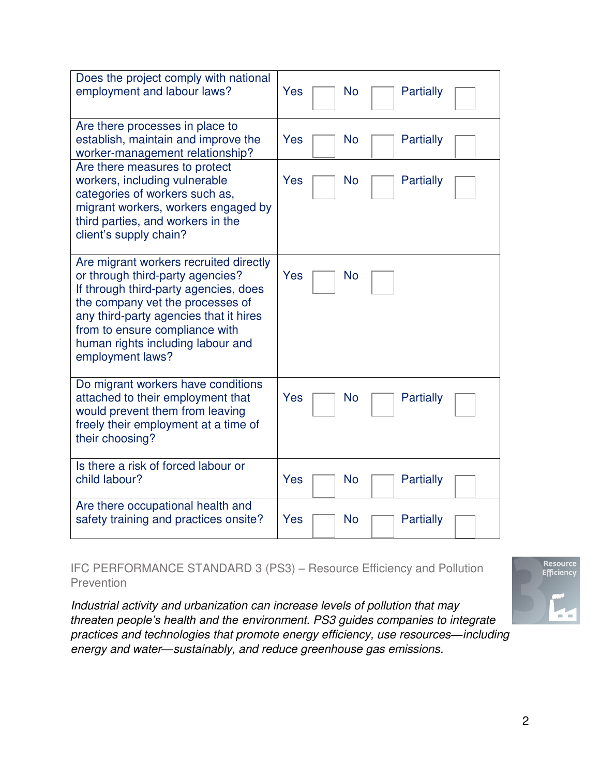| Does the project comply with national<br>employment and labour laws?                                                                                                                                                                                                                         | Yes<br><b>No</b><br>Partially |
|----------------------------------------------------------------------------------------------------------------------------------------------------------------------------------------------------------------------------------------------------------------------------------------------|-------------------------------|
| Are there processes in place to<br>establish, maintain and improve the<br>worker-management relationship?                                                                                                                                                                                    | Yes<br><b>No</b><br>Partially |
| Are there measures to protect<br>workers, including vulnerable<br>categories of workers such as,<br>migrant workers, workers engaged by<br>third parties, and workers in the<br>client's supply chain?                                                                                       | Yes<br><b>No</b><br>Partially |
| Are migrant workers recruited directly<br>or through third-party agencies?<br>If through third-party agencies, does<br>the company vet the processes of<br>any third-party agencies that it hires<br>from to ensure compliance with<br>human rights including labour and<br>employment laws? | Yes<br>No                     |
| Do migrant workers have conditions<br>attached to their employment that<br>would prevent them from leaving<br>freely their employment at a time of<br>their choosing?                                                                                                                        | Yes<br>Partially<br>No        |
| Is there a risk of forced labour or<br>child labour?                                                                                                                                                                                                                                         | Yes<br><b>No</b><br>Partially |
| Are there occupational health and<br>safety training and practices onsite?                                                                                                                                                                                                                   | Yes<br><b>No</b><br>Partially |

IFC PERFORMANCE STANDARD 3 (PS3) – Resource Efficiency and Pollution **Prevention** 

Industrial activity and urbanization can increase levels of pollution that may *threaten people's health and the* environment. PS3 guides companies to integrate practices and technologies that promote energy efficiency, use resources*—*including energy and water*—*sustainably, and reduce greenhouse gas emissions.

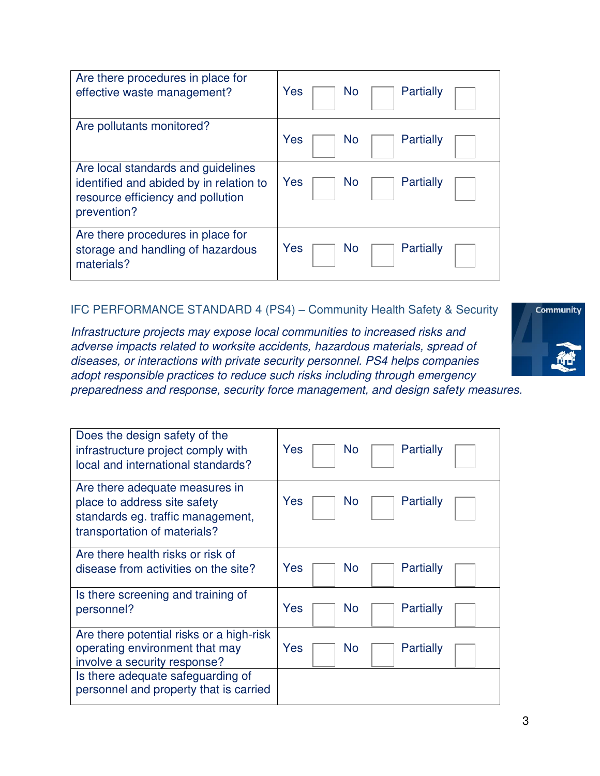| Are there procedures in place for<br>effective waste management?                                                                  | Yes<br><b>Partially</b><br><b>No</b> |
|-----------------------------------------------------------------------------------------------------------------------------------|--------------------------------------|
| Are pollutants monitored?                                                                                                         | Yes<br>Partially<br>No               |
| Are local standards and guidelines<br>identified and abided by in relation to<br>resource efficiency and pollution<br>prevention? | Yes<br>Partially<br><b>No</b>        |
| Are there procedures in place for<br>storage and handling of hazardous<br>materials?                                              | Yes<br>Partially<br><b>No</b>        |

## IFC PERFORMANCE STANDARD 4 (PS4) – Community Health Safety & Security

Infrastructure projects may expose local communities to increased risks and adverse impacts related to worksite accidents, hazardous materials, spread of diseases, or interactions with private security personnel. PS4 helps companies adopt responsible practices to reduce such risks including through emergency



preparedness and response, security force management, and design safety measures.

| Does the design safety of the<br>infrastructure project comply with<br>local and international standards?                           | Yes<br>Partially<br>No.              |
|-------------------------------------------------------------------------------------------------------------------------------------|--------------------------------------|
| Are there adequate measures in<br>place to address site safety<br>standards eg. traffic management,<br>transportation of materials? | Yes<br>Partially<br>No.              |
| Are there health risks or risk of<br>disease from activities on the site?                                                           | Yes<br><b>No</b><br><b>Partially</b> |
| Is there screening and training of<br>personnel?                                                                                    | Yes<br>Partially<br>No               |
| Are there potential risks or a high-risk<br>operating environment that may<br>involve a security response?                          | Yes<br>No<br>Partially               |
| Is there adequate safeguarding of<br>personnel and property that is carried                                                         |                                      |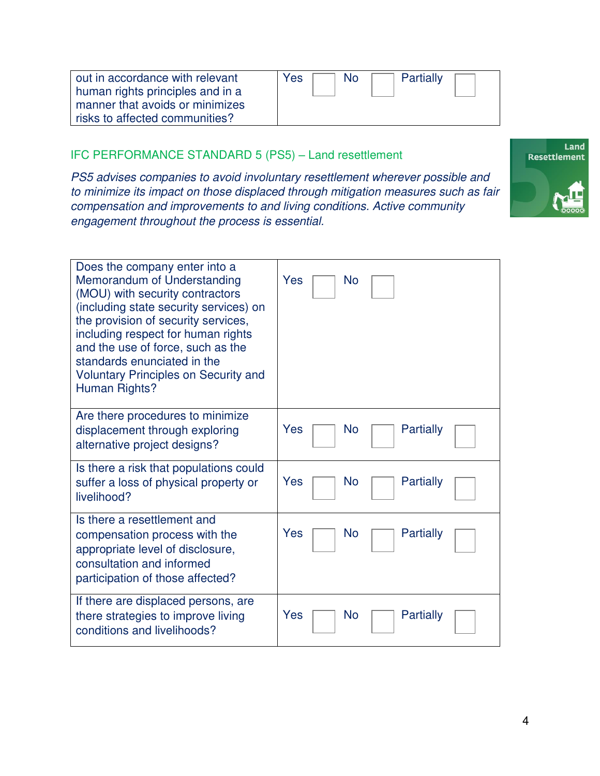| out in accordance with relevant  | Partially<br><b>Yes</b><br>No |
|----------------------------------|-------------------------------|
| human rights principles and in a |                               |
| manner that avoids or minimizes  |                               |
| risks to affected communities?   |                               |

### IFC PERFORMANCE STANDARD 5 (PS5) – Land resettlement

PS5 advises companies to avoid involuntary resettlement wherever possible and to minimize its impact on those displaced through mitigation measures such as fair compensation and improvements to and living conditions. Active community engagement throughout the process is essential.



| Does the company enter into a<br>Memorandum of Understanding<br>(MOU) with security contractors<br>(including state security services) on<br>the provision of security services,<br>including respect for human rights<br>and the use of force, such as the<br>standards enunciated in the<br><b>Voluntary Principles on Security and</b><br>Human Rights? | Yes<br>No              |
|------------------------------------------------------------------------------------------------------------------------------------------------------------------------------------------------------------------------------------------------------------------------------------------------------------------------------------------------------------|------------------------|
| Are there procedures to minimize                                                                                                                                                                                                                                                                                                                           | Yes                    |
| displacement through exploring                                                                                                                                                                                                                                                                                                                             | Partially              |
| alternative project designs?                                                                                                                                                                                                                                                                                                                               | No                     |
| Is there a risk that populations could                                                                                                                                                                                                                                                                                                                     | Yes                    |
| suffer a loss of physical property or                                                                                                                                                                                                                                                                                                                      | Partially              |
| livelihood?                                                                                                                                                                                                                                                                                                                                                | No                     |
| Is there a resettlement and<br>compensation process with the<br>appropriate level of disclosure,<br>consultation and informed<br>participation of those affected?                                                                                                                                                                                          | Yes<br>Partially<br>No |
| If there are displaced persons, are                                                                                                                                                                                                                                                                                                                        | Yes                    |
| there strategies to improve living                                                                                                                                                                                                                                                                                                                         | <b>Partially</b>       |
| conditions and livelihoods?                                                                                                                                                                                                                                                                                                                                | No                     |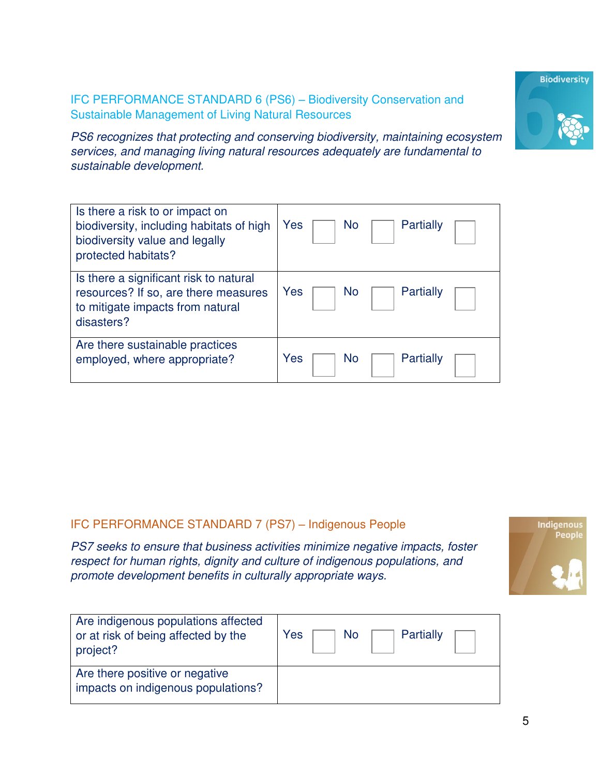5

#### IFC PERFORMANCE STANDARD 6 (PS6) – Biodiversity Conservation and Sustainable Management of Living Natural Resources

PS6 recognizes that protecting and conserving biodiversity, maintaining ecosystem services, and managing living natural resources adequately are fundamental to sustainable development.

| Is there a risk to or impact on<br>biodiversity, including habitats of high<br>biodiversity value and legally<br>protected habitats? | Yes<br><b>Partially</b><br>No |
|--------------------------------------------------------------------------------------------------------------------------------------|-------------------------------|
| Is there a significant risk to natural<br>resources? If so, are there measures<br>to mitigate impacts from natural<br>disasters?     | Yes<br>Partially<br>No        |
| Are there sustainable practices<br>employed, where appropriate?                                                                      | Yes<br>Partially<br>No        |

## IFC PERFORMANCE STANDARD 7 (PS7) – Indigenous People

PS7 seeks to ensure that business activities minimize negative impacts, foster respect for human rights, dignity and culture of indigenous populations, and promote development benefits in culturally appropriate ways.

| Are indigenous populations affected                                  | Partially |
|----------------------------------------------------------------------|-----------|
| or at risk of being affected by the                                  | Yes       |
| project?                                                             | No        |
| Are there positive or negative<br>impacts on indigenous populations? |           |



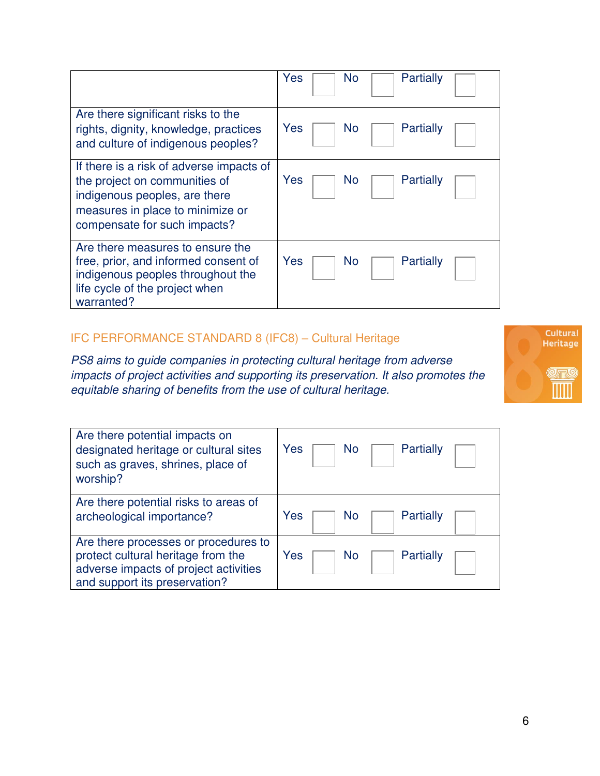|                                                                                                                                                                                | Yes<br>Partially<br>No        |
|--------------------------------------------------------------------------------------------------------------------------------------------------------------------------------|-------------------------------|
| Are there significant risks to the<br>rights, dignity, knowledge, practices<br>and culture of indigenous peoples?                                                              | Yes<br>Partially<br>No.       |
| If there is a risk of adverse impacts of<br>the project on communities of<br>indigenous peoples, are there<br>measures in place to minimize or<br>compensate for such impacts? | Yes<br>Partially<br>No        |
| Are there measures to ensure the<br>free, prior, and informed consent of<br>indigenous peoples throughout the<br>life cycle of the project when<br>warranted?                  | Yes<br>Partially<br><b>No</b> |

## IFC PERFORMANCE STANDARD 8 (IFC8) – Cultural Heritage

PS8 aims to guide companies in protecting cultural heritage from adverse impacts of project activities and supporting its preservation. It also promotes the equitable sharing of benefits from the use of cultural heritage.



| Are there potential impacts on<br>designated heritage or cultural sites<br>such as graves, shrines, place of<br>worship?                             | Yes<br><b>Partially</b><br>No |
|------------------------------------------------------------------------------------------------------------------------------------------------------|-------------------------------|
| Are there potential risks to areas of<br>archeological importance?                                                                                   | Yes<br>Partially<br>NΟ        |
| Are there processes or procedures to<br>protect cultural heritage from the<br>adverse impacts of project activities<br>and support its preservation? | Yes<br>Partially<br>ΝO        |